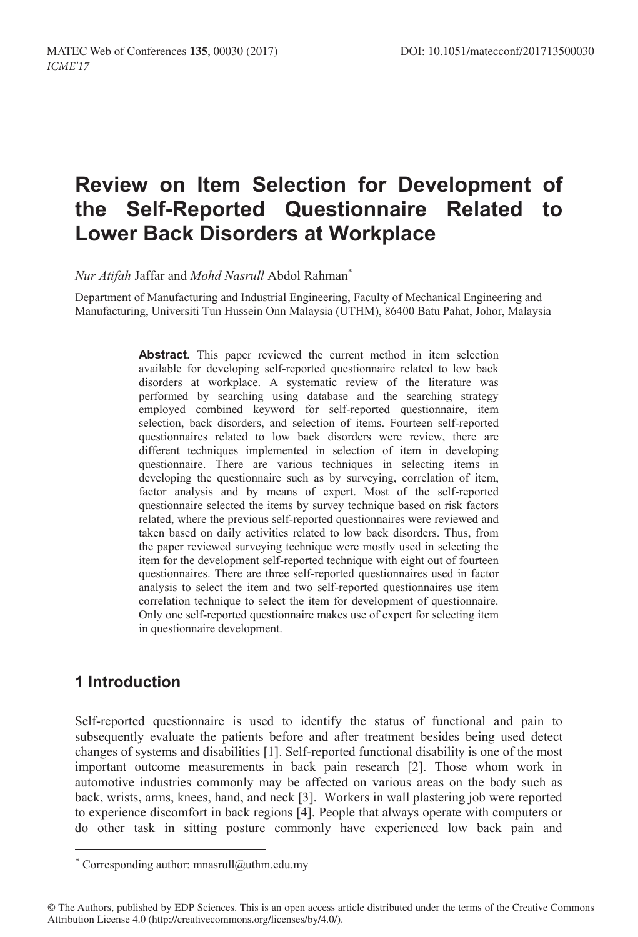# **Review on Item Selection for Development of the Self-Reported Questionnaire Related to Lower Back Disorders at Workplace**

*Nur Atifah* Jaffar and *Mohd Nasrull* Abdol Rahman\*

Department of Manufacturing and Industrial Engineering, Faculty of Mechanical Engineering and Manufacturing, Universiti Tun Hussein Onn Malaysia (UTHM), 86400 Batu Pahat, Johor, Malaysia

> Abstract. This paper reviewed the current method in item selection available for developing self-reported questionnaire related to low back disorders at workplace. A systematic review of the literature was performed by searching using database and the searching strategy employed combined keyword for self-reported questionnaire, item selection, back disorders, and selection of items. Fourteen self-reported questionnaires related to low back disorders were review, there are different techniques implemented in selection of item in developing questionnaire. There are various techniques in selecting items in developing the questionnaire such as by surveying, correlation of item, factor analysis and by means of expert. Most of the self-reported questionnaire selected the items by survey technique based on risk factors related, where the previous self-reported questionnaires were reviewed and taken based on daily activities related to low back disorders. Thus, from the paper reviewed surveying technique were mostly used in selecting the item for the development self-reported technique with eight out of fourteen questionnaires. There are three self-reported questionnaires used in factor analysis to select the item and two self-reported questionnaires use item correlation technique to select the item for development of questionnaire. Only one self-reported questionnaire makes use of expert for selecting item in questionnaire development.

# **1 Introduction**

Self-reported questionnaire is used to identify the status of functional and pain to subsequently evaluate the patients before and after treatment besides being used detect changes of systems and disabilities [1]. Self-reported functional disability is one of the most important outcome measurements in back pain research [2]. Those whom work in automotive industries commonly may be affected on various areas on the body such as back, wrists, arms, knees, hand, and neck [3]. Workers in wall plastering job were reported to experience discomfort in back regions [4]. People that always operate with computers or do other task in sitting posture commonly have experienced low back pain and

<sup>\*</sup> Corresponding author: mnasrull@uthm.edu.my

<sup>©</sup> The Authors, published by EDP Sciences. This is an open access article distributed under the terms of the Creative Commons Attribution License 4.0 (http://creativecommons.org/licenses/by/4.0/).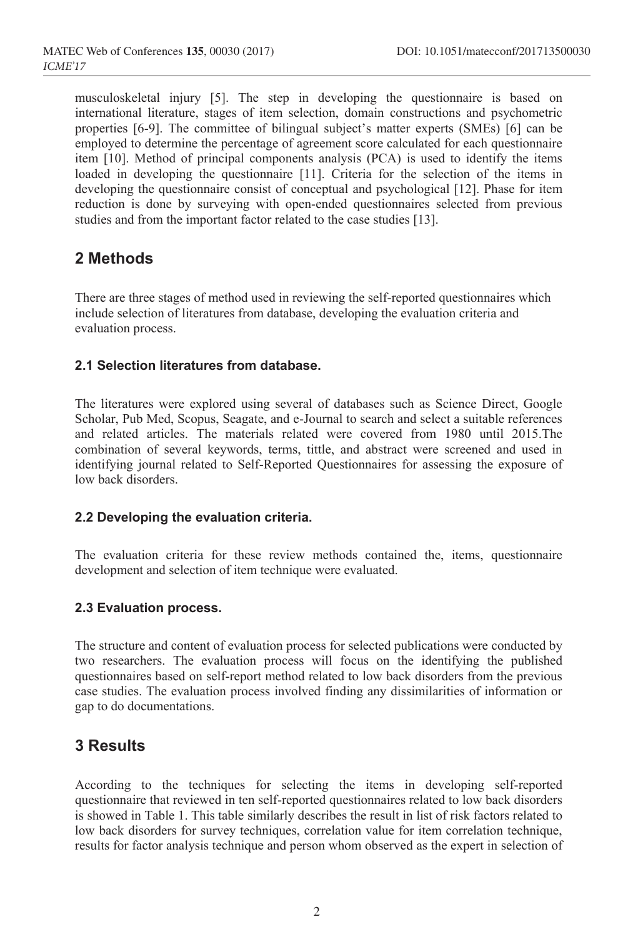musculoskeletal injury [5]. The step in developing the questionnaire is based on international literature, stages of item selection, domain constructions and psychometric properties [6-9]. The committee of bilingual subject's matter experts (SMEs) [6] can be employed to determine the percentage of agreement score calculated for each questionnaire item [10]. Method of principal components analysis (PCA) is used to identify the items loaded in developing the questionnaire [11]. Criteria for the selection of the items in developing the questionnaire consist of conceptual and psychological [12]. Phase for item reduction is done by surveying with open-ended questionnaires selected from previous studies and from the important factor related to the case studies [13].

# **2 Methods**

There are three stages of method used in reviewing the self-reported questionnaires which include selection of literatures from database, developing the evaluation criteria and evaluation process.

## **2.1 Selection literatures from database.**

The literatures were explored using several of databases such as Science Direct, Google Scholar, Pub Med, Scopus, Seagate, and e-Journal to search and select a suitable references and related articles. The materials related were covered from 1980 until 2015.The combination of several keywords, terms, tittle, and abstract were screened and used in identifying journal related to Self-Reported Questionnaires for assessing the exposure of low back disorders.

## **2.2 Developing the evaluation criteria.**

The evaluation criteria for these review methods contained the, items, questionnaire development and selection of item technique were evaluated.

## **2.3 Evaluation process.**

The structure and content of evaluation process for selected publications were conducted by two researchers. The evaluation process will focus on the identifying the published questionnaires based on self-report method related to low back disorders from the previous case studies. The evaluation process involved finding any dissimilarities of information or gap to do documentations.

# **3 Results**

According to the techniques for selecting the items in developing self-reported questionnaire that reviewed in ten self-reported questionnaires related to low back disorders is showed in Table 1. This table similarly describes the result in list of risk factors related to low back disorders for survey techniques, correlation value for item correlation technique, results for factor analysis technique and person whom observed as the expert in selection of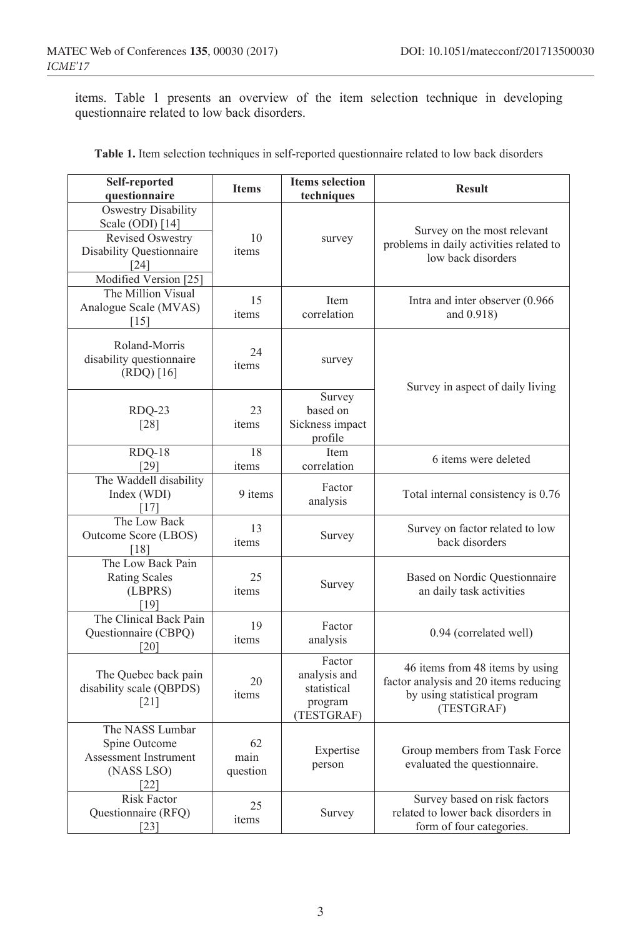items. Table 1 presents an overview of the item selection technique in developing questionnaire related to low back disorders.

| Self-reported<br>questionnaire                                                                                                         | <b>Items</b>           | <b>Items</b> selection<br>techniques                           | <b>Result</b>                                                                                                          |
|----------------------------------------------------------------------------------------------------------------------------------------|------------------------|----------------------------------------------------------------|------------------------------------------------------------------------------------------------------------------------|
| <b>Oswestry Disability</b><br>Scale (ODI) [14]<br><b>Revised Oswestry</b><br>Disability Questionnaire<br>[24]<br>Modified Version [25] | 10<br>items            | survey                                                         | Survey on the most relevant<br>problems in daily activities related to<br>low back disorders                           |
| The Million Visual<br>Analogue Scale (MVAS)<br>[15]                                                                                    | 15<br>items            | Item<br>correlation                                            | Intra and inter observer (0.966<br>and $0.918$ )                                                                       |
| Roland-Morris<br>disability questionnaire<br>$(RDQ)$ [16]                                                                              | 24<br>items            | survey                                                         | Survey in aspect of daily living                                                                                       |
| RDQ-23<br>$[28]$                                                                                                                       | 23<br>items            | Survey<br>based on<br>Sickness impact<br>profile               |                                                                                                                        |
| RDQ-18<br>$[29]$                                                                                                                       | 18<br>items            | Item<br>correlation                                            | 6 items were deleted                                                                                                   |
| The Waddell disability<br>Index (WDI)<br>$[17]$                                                                                        | 9 items                | Factor<br>analysis                                             | Total internal consistency is 0.76                                                                                     |
| The Low Back<br>Outcome Score (LBOS)<br>[18]                                                                                           | 13<br>items            | Survey                                                         | Survey on factor related to low<br>back disorders                                                                      |
| The Low Back Pain<br><b>Rating Scales</b><br>(LBPRS)<br>$[19]$                                                                         | 25<br>items            | Survey                                                         | Based on Nordic Questionnaire<br>an daily task activities                                                              |
| The Clinical Back Pain<br>Questionnaire (CBPQ)<br>[20]                                                                                 | 19<br>items            | Factor<br>analysis                                             | 0.94 (correlated well)                                                                                                 |
| The Quebec back pain<br>disability scale (QBPDS)<br>$[21]$                                                                             | 20<br>items            | Factor<br>analysis and<br>statistical<br>program<br>(TESTGRAF) | 46 items from 48 items by using<br>factor analysis and 20 items reducing<br>by using statistical program<br>(TESTGRAF) |
| The NASS Lumbar<br>Spine Outcome<br>Assessment Instrument<br>(NASS LSO)<br>[22]                                                        | 62<br>main<br>question | Expertise<br>person                                            | Group members from Task Force<br>evaluated the questionnaire.                                                          |
| <b>Risk Factor</b><br>Questionnaire (RFQ)<br>$[23]$                                                                                    | 25<br>items            | Survey                                                         | Survey based on risk factors<br>related to lower back disorders in<br>form of four categories.                         |

**Table 1.** Item selection techniques in self-reported questionnaire related to low back disorders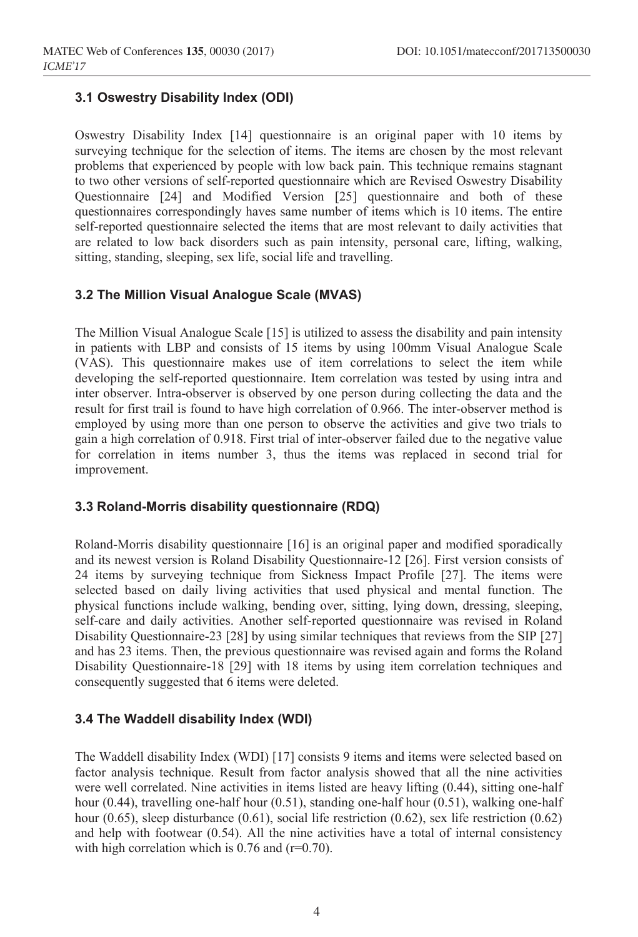## **3.1 Oswestry Disability Index (ODI)**

Oswestry Disability Index [14] questionnaire is an original paper with 10 items by surveying technique for the selection of items. The items are chosen by the most relevant problems that experienced by people with low back pain. This technique remains stagnant to two other versions of self-reported questionnaire which are Revised Oswestry Disability Questionnaire [24] and Modified Version [25] questionnaire and both of these questionnaires correspondingly haves same number of items which is 10 items. The entire self-reported questionnaire selected the items that are most relevant to daily activities that are related to low back disorders such as pain intensity, personal care, lifting, walking, sitting, standing, sleeping, sex life, social life and travelling.

## **3.2 The Million Visual Analogue Scale (MVAS)**

The Million Visual Analogue Scale [15] is utilized to assess the disability and pain intensity in patients with LBP and consists of 15 items by using 100mm Visual Analogue Scale (VAS). This questionnaire makes use of item correlations to select the item while developing the self-reported questionnaire. Item correlation was tested by using intra and inter observer. Intra-observer is observed by one person during collecting the data and the result for first trail is found to have high correlation of 0.966. The inter-observer method is employed by using more than one person to observe the activities and give two trials to gain a high correlation of 0.918. First trial of inter-observer failed due to the negative value for correlation in items number 3, thus the items was replaced in second trial for improvement.

## **3.3 Roland-Morris disability questionnaire (RDQ)**

Roland-Morris disability questionnaire [16] is an original paper and modified sporadically and its newest version is Roland Disability Questionnaire-12 [26]. First version consists of 24 items by surveying technique from Sickness Impact Profile [27]. The items were selected based on daily living activities that used physical and mental function. The physical functions include walking, bending over, sitting, lying down, dressing, sleeping, self-care and daily activities. Another self-reported questionnaire was revised in Roland Disability Questionnaire-23 [28] by using similar techniques that reviews from the SIP [27] and has 23 items. Then, the previous questionnaire was revised again and forms the Roland Disability Questionnaire-18 [29] with 18 items by using item correlation techniques and consequently suggested that 6 items were deleted.

## **3.4 The Waddell disability Index (WDI)**

The Waddell disability Index (WDI) [17] consists 9 items and items were selected based on factor analysis technique. Result from factor analysis showed that all the nine activities were well correlated. Nine activities in items listed are heavy lifting (0.44), sitting one-half hour (0.44), travelling one-half hour (0.51), standing one-half hour (0.51), walking one-half hour (0.65), sleep disturbance (0.61), social life restriction (0.62), sex life restriction (0.62) and help with footwear (0.54). All the nine activities have a total of internal consistency with high correlation which is  $0.76$  and  $(r=0.70)$ .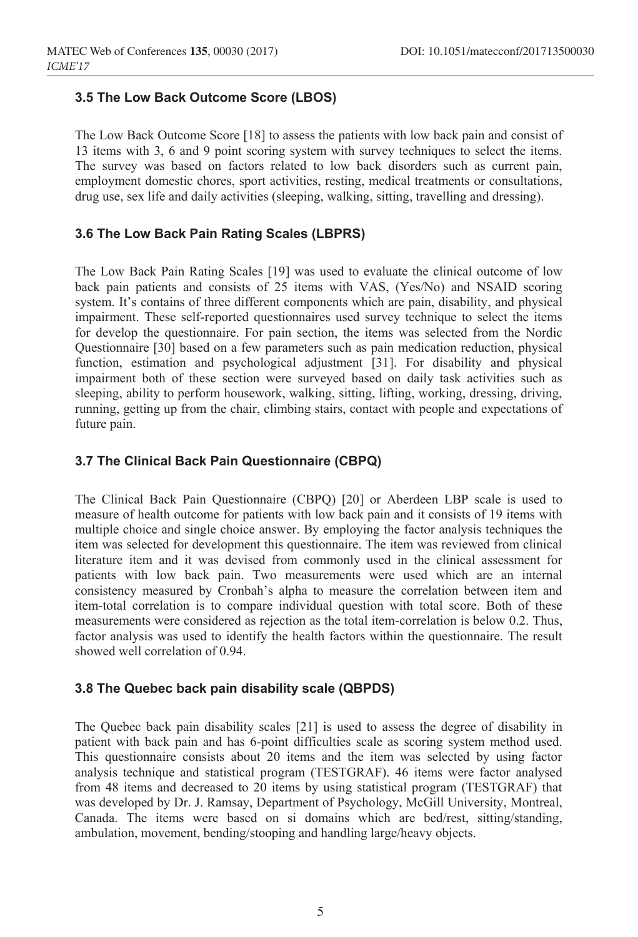## **3.5 The Low Back Outcome Score (LBOS)**

The Low Back Outcome Score [18] to assess the patients with low back pain and consist of 13 items with 3, 6 and 9 point scoring system with survey techniques to select the items. The survey was based on factors related to low back disorders such as current pain, employment domestic chores, sport activities, resting, medical treatments or consultations, drug use, sex life and daily activities (sleeping, walking, sitting, travelling and dressing).

## **3.6 The Low Back Pain Rating Scales (LBPRS)**

The Low Back Pain Rating Scales [19] was used to evaluate the clinical outcome of low back pain patients and consists of 25 items with VAS, (Yes/No) and NSAID scoring system. It's contains of three different components which are pain, disability, and physical impairment. These self-reported questionnaires used survey technique to select the items for develop the questionnaire. For pain section, the items was selected from the Nordic Questionnaire [30] based on a few parameters such as pain medication reduction, physical function, estimation and psychological adjustment [31]. For disability and physical impairment both of these section were surveyed based on daily task activities such as sleeping, ability to perform housework, walking, sitting, lifting, working, dressing, driving, running, getting up from the chair, climbing stairs, contact with people and expectations of future pain.

## **3.7 The Clinical Back Pain Questionnaire (CBPQ)**

The Clinical Back Pain Questionnaire (CBPQ) [20] or Aberdeen LBP scale is used to measure of health outcome for patients with low back pain and it consists of 19 items with multiple choice and single choice answer. By employing the factor analysis techniques the item was selected for development this questionnaire. The item was reviewed from clinical literature item and it was devised from commonly used in the clinical assessment for patients with low back pain. Two measurements were used which are an internal consistency measured by Cronbah's alpha to measure the correlation between item and item-total correlation is to compare individual question with total score. Both of these measurements were considered as rejection as the total item-correlation is below 0.2. Thus, factor analysis was used to identify the health factors within the questionnaire. The result showed well correlation of 0.94.

## **3.8 The Quebec back pain disability scale (QBPDS)**

The Quebec back pain disability scales [21] is used to assess the degree of disability in patient with back pain and has 6-point difficulties scale as scoring system method used. This questionnaire consists about 20 items and the item was selected by using factor analysis technique and statistical program (TESTGRAF). 46 items were factor analysed from 48 items and decreased to 20 items by using statistical program (TESTGRAF) that was developed by Dr. J. Ramsay, Department of Psychology, McGill University, Montreal, Canada. The items were based on si domains which are bed/rest, sitting/standing, ambulation, movement, bending/stooping and handling large/heavy objects.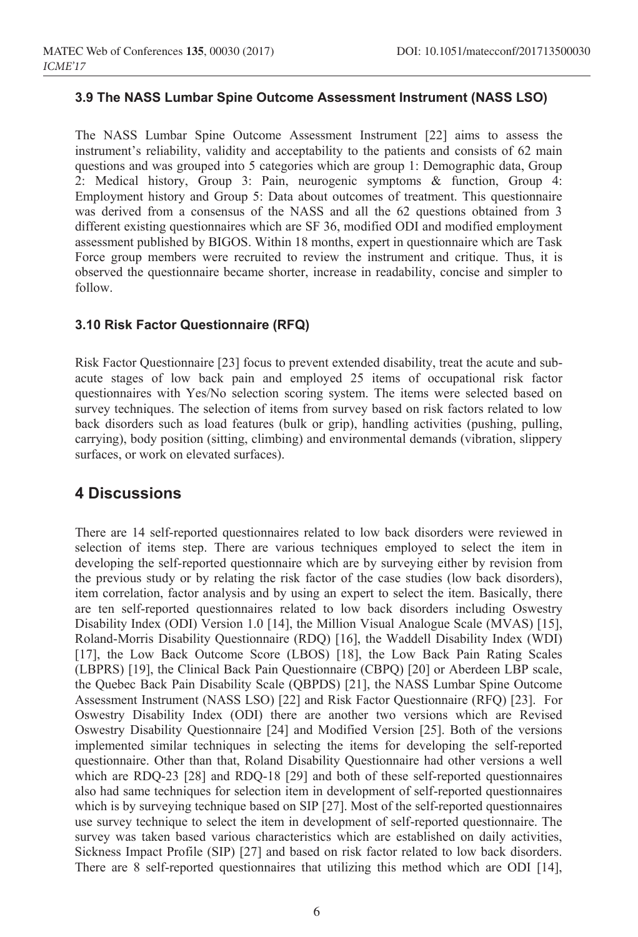## **3.9 The NASS Lumbar Spine Outcome Assessment Instrument (NASS LSO)**

The NASS Lumbar Spine Outcome Assessment Instrument [22] aims to assess the instrument's reliability, validity and acceptability to the patients and consists of 62 main questions and was grouped into 5 categories which are group 1: Demographic data, Group 2: Medical history, Group 3: Pain, neurogenic symptoms & function, Group 4: Employment history and Group 5: Data about outcomes of treatment. This questionnaire was derived from a consensus of the NASS and all the 62 questions obtained from 3 different existing questionnaires which are SF 36, modified ODI and modified employment assessment published by BIGOS. Within 18 months, expert in questionnaire which are Task Force group members were recruited to review the instrument and critique. Thus, it is observed the questionnaire became shorter, increase in readability, concise and simpler to follow.

## **3.10 Risk Factor Questionnaire (RFQ)**

Risk Factor Questionnaire [23] focus to prevent extended disability, treat the acute and subacute stages of low back pain and employed 25 items of occupational risk factor questionnaires with Yes/No selection scoring system. The items were selected based on survey techniques. The selection of items from survey based on risk factors related to low back disorders such as load features (bulk or grip), handling activities (pushing, pulling, carrying), body position (sitting, climbing) and environmental demands (vibration, slippery surfaces, or work on elevated surfaces).

# **4 Discussions**

There are 14 self-reported questionnaires related to low back disorders were reviewed in selection of items step. There are various techniques employed to select the item in developing the self-reported questionnaire which are by surveying either by revision from the previous study or by relating the risk factor of the case studies (low back disorders), item correlation, factor analysis and by using an expert to select the item. Basically, there are ten self-reported questionnaires related to low back disorders including Oswestry Disability Index (ODI) Version 1.0 [14], the Million Visual Analogue Scale (MVAS) [15], Roland-Morris Disability Questionnaire (RDQ) [16], the Waddell Disability Index (WDI) [17], the Low Back Outcome Score (LBOS) [18], the Low Back Pain Rating Scales (LBPRS) [19], the Clinical Back Pain Questionnaire (CBPQ) [20] or Aberdeen LBP scale, the Quebec Back Pain Disability Scale (QBPDS) [21], the NASS Lumbar Spine Outcome Assessment Instrument (NASS LSO) [22] and Risk Factor Questionnaire (RFQ) [23]. For Oswestry Disability Index (ODI) there are another two versions which are Revised Oswestry Disability Questionnaire [24] and Modified Version [25]. Both of the versions implemented similar techniques in selecting the items for developing the self-reported questionnaire. Other than that, Roland Disability Questionnaire had other versions a well which are RDQ-23 [28] and RDQ-18 [29] and both of these self-reported questionnaires also had same techniques for selection item in development of self-reported questionnaires which is by surveying technique based on SIP [27]. Most of the self-reported questionnaires use survey technique to select the item in development of self-reported questionnaire. The survey was taken based various characteristics which are established on daily activities, Sickness Impact Profile (SIP) [27] and based on risk factor related to low back disorders. There are 8 self-reported questionnaires that utilizing this method which are ODI [14],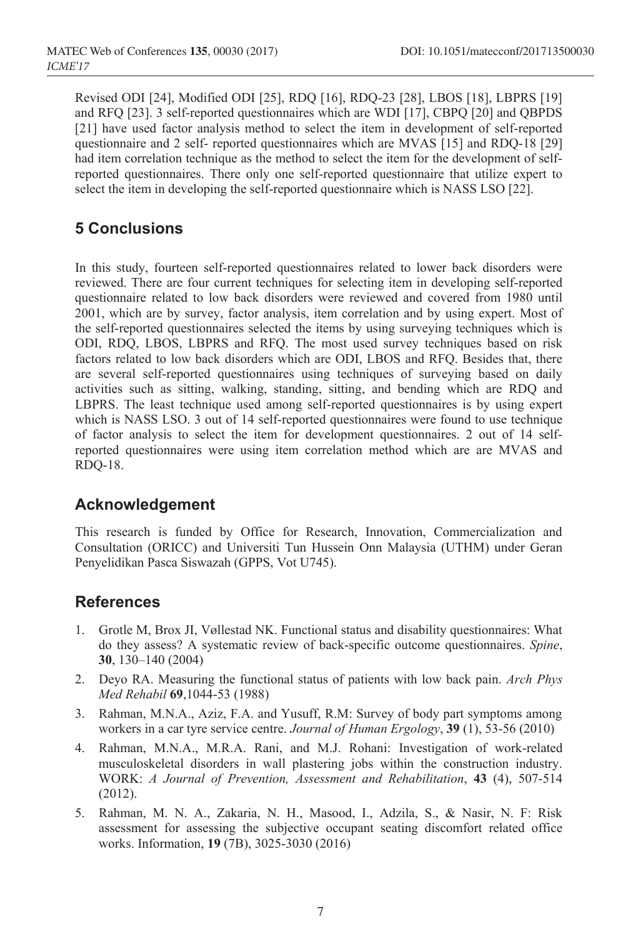Revised ODI [24], Modified ODI [25], RDQ [16], RDQ-23 [28], LBOS [18], LBPRS [19] and RFQ [23]. 3 self-reported questionnaires which are WDI [17], CBPQ [20] and QBPDS [21] have used factor analysis method to select the item in development of self-reported questionnaire and 2 self- reported questionnaires which are MVAS [15] and RDQ-18 [29] had item correlation technique as the method to select the item for the development of selfreported questionnaires. There only one self-reported questionnaire that utilize expert to select the item in developing the self-reported questionnaire which is NASS LSO [22].

# **5 Conclusions**

In this study, fourteen self-reported questionnaires related to lower back disorders were reviewed. There are four current techniques for selecting item in developing self-reported questionnaire related to low back disorders were reviewed and covered from 1980 until 2001, which are by survey, factor analysis, item correlation and by using expert. Most of the self-reported questionnaires selected the items by using surveying techniques which is ODI, RDQ, LBOS, LBPRS and RFQ. The most used survey techniques based on risk factors related to low back disorders which are ODI, LBOS and RFQ. Besides that, there are several self-reported questionnaires using techniques of surveying based on daily activities such as sitting, walking, standing, sitting, and bending which are RDQ and LBPRS. The least technique used among self-reported questionnaires is by using expert which is NASS LSO. 3 out of 14 self-reported questionnaires were found to use technique of factor analysis to select the item for development questionnaires. 2 out of 14 selfreported questionnaires were using item correlation method which are are MVAS and RDQ-18.

# **Acknowledgement**

This research is funded by Office for Research, Innovation, Commercialization and Consultation (ORICC) and Universiti Tun Hussein Onn Malaysia (UTHM) under Geran Penyelidikan Pasca Siswazah (GPPS, Vot U745).

# **References**

- 1. Grotle M, Brox JI, Vøllestad NK. Functional status and disability questionnaires: What do they assess? A systematic review of back-specific outcome questionnaires. *Spine*, **30**, 130–140 (2004)
- 2. Deyo RA. Measuring the functional status of patients with low back pain. *Arch Phys Med Rehabil* **69**,1044-53 (1988)
- 3. Rahman, M.N.A., Aziz, F.A. and Yusuff, R.M: Survey of body part symptoms among workers in a car tyre service centre. *Journal of Human Ergology*, **39** (1), 53-56 (2010)
- 4. Rahman, M.N.A., M.R.A. Rani, and M.J. Rohani: Investigation of work-related musculoskeletal disorders in wall plastering jobs within the construction industry. WORK: *A Journal of Prevention, Assessment and Rehabilitation*, **43** (4), 507-514 (2012).
- 5. Rahman, M. N. A., Zakaria, N. H., Masood, I., Adzila, S., & Nasir, N. F: Risk assessment for assessing the subjective occupant seating discomfort related office works. Information, **19** (7B), 3025-3030 (2016)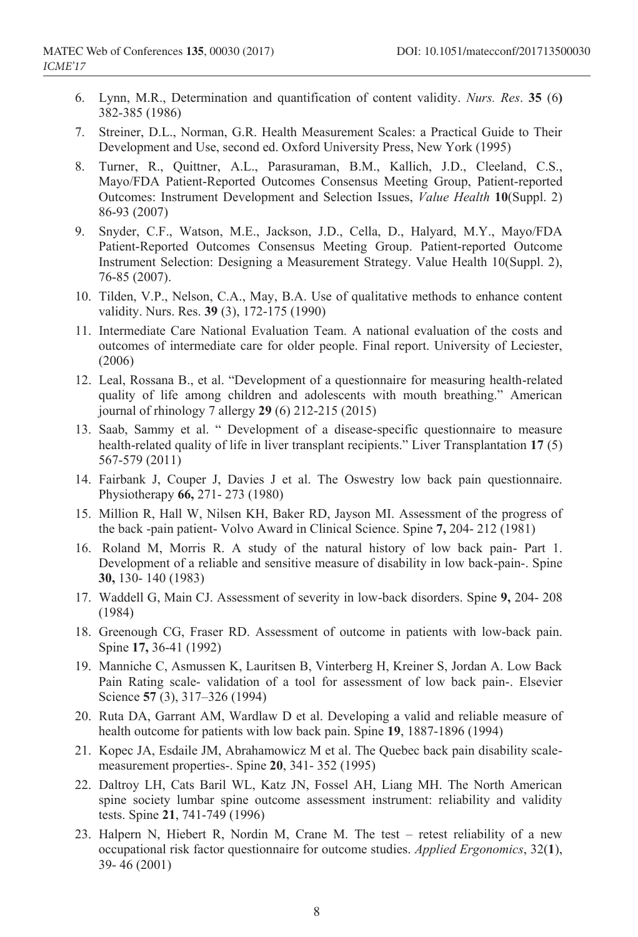- 6. Lynn, M.R., Determination and quantification of content validity. *Nurs. Res*. **35** (6**)** 382-385 (1986)
- 7. Streiner, D.L., Norman, G.R. Health Measurement Scales: a Practical Guide to Their Development and Use, second ed. Oxford University Press, New York (1995)
- 8. Turner, R., Quittner, A.L., Parasuraman, B.M., Kallich, J.D., Cleeland, C.S., Mayo/FDA Patient-Reported Outcomes Consensus Meeting Group, Patient-reported Outcomes: Instrument Development and Selection Issues, *Value Health* **10**(Suppl. 2) 86-93 (2007)
- 9. Snyder, C.F., Watson, M.E., Jackson, J.D., Cella, D., Halyard, M.Y., Mayo/FDA Patient-Reported Outcomes Consensus Meeting Group. Patient-reported Outcome Instrument Selection: Designing a Measurement Strategy. Value Health 10(Suppl. 2), 76-85 (2007).
- 10. Tilden, V.P., Nelson, C.A., May, B.A. Use of qualitative methods to enhance content validity. Nurs. Res. **39** (3), 172-175 (1990)
- 11. Intermediate Care National Evaluation Team. A national evaluation of the costs and outcomes of intermediate care for older people. Final report. University of Leciester, (2006)
- 12. Leal, Rossana B., et al. "Development of a questionnaire for measuring health-related quality of life among children and adolescents with mouth breathing." American journal of rhinology 7 allergy **29** (6) 212-215 (2015)
- 13. Saab, Sammy et al. " Development of a disease-specific questionnaire to measure health-related quality of life in liver transplant recipients." Liver Transplantation **17** (5) 567-579 (2011)
- 14. Fairbank J, Couper J, Davies J et al. The Oswestry low back pain questionnaire. Physiotherapy **66,** 271- 273 (1980)
- 15. Million R, Hall W, Nilsen KH, Baker RD, Jayson MI. Assessment of the progress of the back -pain patient- Volvo Award in Clinical Science. Spine **7,** 204- 212 (1981)
- 16. Roland M, Morris R. A study of the natural history of low back pain- Part 1. Development of a reliable and sensitive measure of disability in low back-pain-. Spine **30,** 130- 140 (1983)
- 17. Waddell G, Main CJ. Assessment of severity in low-back disorders. Spine **9,** 204- 208 (1984)
- 18. Greenough CG, Fraser RD. Assessment of outcome in patients with low-back pain. Spine **17,** 36-41 (1992)
- 19. Manniche C, Asmussen K, Lauritsen B, Vinterberg H, Kreiner S, Jordan A. Low Back Pain Rating scale- validation of a tool for assessment of low back pain-. Elsevier Science **57** (3), 317–326 (1994)
- 20. Ruta DA, Garrant AM, Wardlaw D et al. Developing a valid and reliable measure of health outcome for patients with low back pain. Spine **19**, 1887-1896 (1994)
- 21. Kopec JA, Esdaile JM, Abrahamowicz M et al. The Quebec back pain disability scalemeasurement properties-. Spine **20**, 341- 352 (1995)
- 22. Daltroy LH, Cats Baril WL, Katz JN, Fossel AH, Liang MH. The North American spine society lumbar spine outcome assessment instrument: reliability and validity tests. Spine **21**, 741-749 (1996)
- 23. Halpern N, Hiebert R, Nordin M, Crane M. The test retest reliability of a new occupational risk factor questionnaire for outcome studies. *Applied Ergonomics*, 32(**1**), 39- 46 (2001)